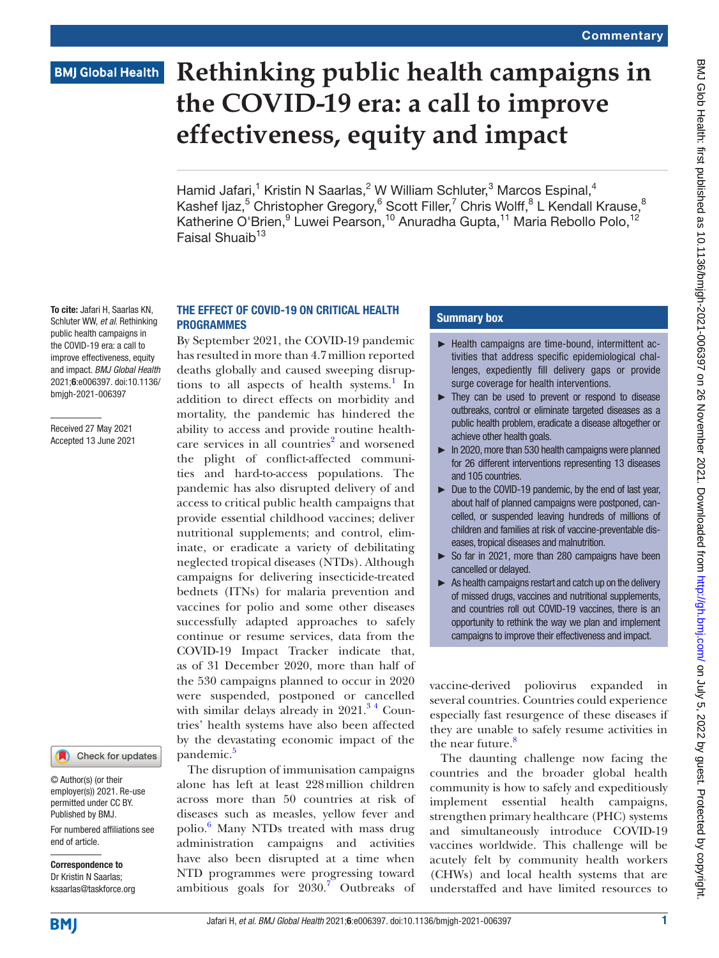# **BMJ Global Health**

# **Rethinking public health campaigns in the COVID-19 era: a call to improve effectiveness, equity and impact**

Hamid Jafari,<sup>1</sup> Kristin N Saarlas,<sup>2</sup> W William Schluter,<sup>3</sup> Marcos Espinal,<sup>4</sup> Kashef Ijaz,<sup>5</sup> Christopher Gregory,<sup>6</sup> Scott Filler,<sup>7</sup> Chris Wolff,<sup>8</sup> L Kendall Krause,<sup>8</sup> Katherine O'Brien, <sup>9</sup> Luwei Pearson, <sup>10</sup> Anuradha Gupta, <sup>11</sup> Maria Rebollo Polo, <sup>12</sup> Faisal Shuaib<sup>13</sup>

To cite: Jafari H, Saarlas KN, Schluter WW, *et al*. Rethinking public health campaigns in the COVID-19 era: a call to improve effectiveness, equity and impact. *BMJ Global Health* 2021;6:e006397. doi:10.1136/ bmjgh-2021-006397

#### Received 27 May 2021 Accepted 13 June 2021

# Check for updates

© Author(s) (or their employer(s)) 2021. Re-use permitted under CC BY. Published by BMJ.

For numbered affiliations see end of article.

Correspondence to Dr Kristin N Saarlas; ksaarlas@taskforce.org

# THE EFFECT OF COVID-19 ON CRITICAL HEALTH PROGRAMMES

By September 2021, the COVID-19 pandemic has resulted in more than 4.7million reported deaths globally and caused sweeping disrup-tions to all aspects of health systems.<sup>[1](#page-2-0)</sup> In addition to direct effects on morbidity and mortality, the pandemic has hindered the ability to access and provide routine health-care services in all countries<sup>[2](#page-2-1)</sup> and worsened the plight of conflict-affected communities and hard-to-access populations. The pandemic has also disrupted delivery of and access to critical public health campaigns that provide essential childhood vaccines; deliver nutritional supplements; and control, eliminate, or eradicate a variety of debilitating neglected tropical diseases (NTDs). Although campaigns for delivering insecticide-treated bednets (ITNs) for malaria prevention and vaccines for polio and some other diseases successfully adapted approaches to safely continue or resume services, data from the COVID-19 Impact Tracker indicate that, as of 31 December 2020, more than half of the 530 campaigns planned to occur in 2020 were suspended, postponed or cancelled with similar delays already in  $2021.^{34}$  Countries' health systems have also been affected by the devastating economic impact of the pandemic.<sup>[5](#page-3-0)</sup>

The disruption of immunisation campaigns alone has left at least 228million children across more than 50 countries at risk of diseases such as measles, yellow fever and polio.<sup>[6](#page-3-1)</sup> Many NTDs treated with mass drug administration campaigns and activities have also been disrupted at a time when NTD programmes were progressing toward ambitious goals for  $2030$ .<sup>[7](#page-3-2)</sup> Outbreaks of

#### Summary box

- ► Health campaigns are time-bound, intermittent activities that address specific epidemiological challenges, expediently fill delivery gaps or provide surge coverage for health interventions.
- ► They can be used to prevent or respond to disease outbreaks, control or eliminate targeted diseases as a public health problem, eradicate a disease altogether or achieve other health goals.
- ► In 2020, more than 530 health campaigns were planned for 26 different interventions representing 13 diseases and 105 countries.
- ► Due to the COVID-19 pandemic, by the end of last year, about half of planned campaigns were postponed, cancelled, or suspended leaving hundreds of millions of children and families at risk of vaccine-preventable diseases, tropical diseases and malnutrition.
- ► So far in 2021, more than 280 campaigns have been cancelled or delayed.
- ► As health campaigns restart and catch up on the delivery of missed drugs, vaccines and nutritional supplements, and countries roll out COVID-19 vaccines, there is an opportunity to rethink the way we plan and implement campaigns to improve their effectiveness and impact.

vaccine-derived poliovirus expanded in several countries. Countries could experience especially fast resurgence of these diseases if they are unable to safely resume activities in the near future.<sup>[8](#page-3-3)</sup>

The daunting challenge now facing the countries and the broader global health community is how to safely and expeditiously implement essential health campaigns, strengthen primary healthcare (PHC) systems and simultaneously introduce COVID-19 vaccines worldwide. This challenge will be acutely felt by community health workers (CHWs) and local health systems that are understaffed and have limited resources to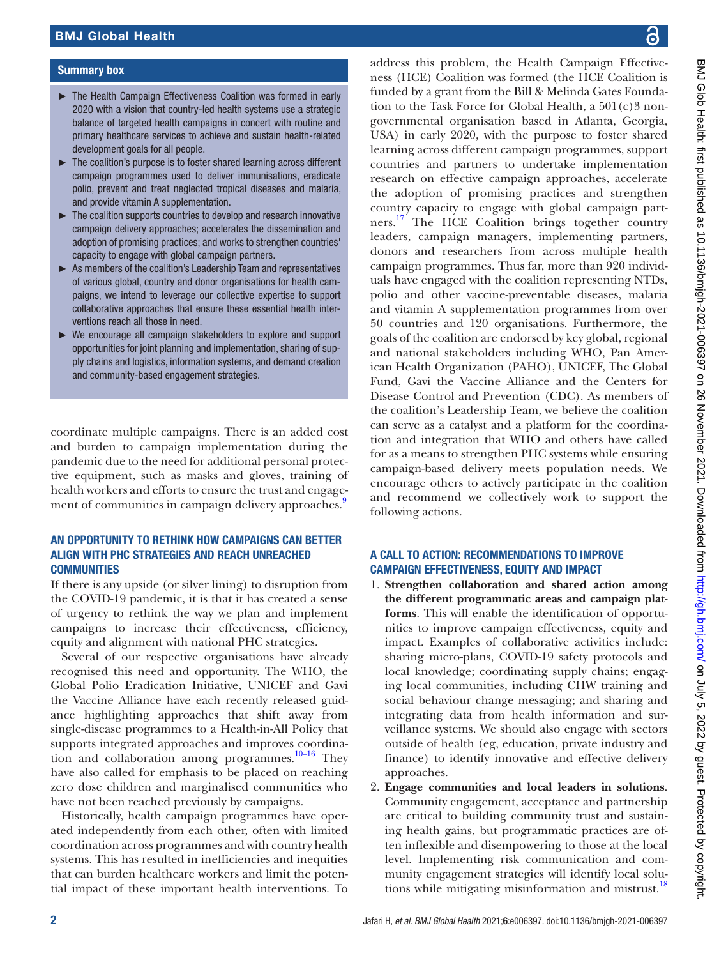#### Summary box

- ► The Health Campaign Effectiveness Coalition was formed in early 2020 with a vision that country-led health systems use a strategic balance of targeted health campaigns in concert with routine and primary healthcare services to achieve and sustain health-related development goals for all people.
- ► The coalition's purpose is to foster shared learning across different campaign programmes used to deliver immunisations, eradicate polio, prevent and treat neglected tropical diseases and malaria, and provide vitamin A supplementation.
- ► The coalition supports countries to develop and research innovative campaign delivery approaches; accelerates the dissemination and adoption of promising practices; and works to strengthen countries' capacity to engage with global campaign partners.
- ► As members of the coalition's Leadership Team and representatives of various global, country and donor organisations for health campaigns, we intend to leverage our collective expertise to support collaborative approaches that ensure these essential health interventions reach all those in need.
- ► We encourage all campaign stakeholders to explore and support opportunities for joint planning and implementation, sharing of supply chains and logistics, information systems, and demand creation and community-based engagement strategies.

coordinate multiple campaigns. There is an added cost and burden to campaign implementation during the pandemic due to the need for additional personal protective equipment, such as masks and gloves, training of health workers and efforts to ensure the trust and engage-ment of communities in campaign delivery approaches.<sup>[9](#page-3-4)</sup>

### AN OPPORTUNITY TO RETHINK HOW CAMPAIGNS CAN BETTER ALIGN WITH PHC STRATEGIES AND REACH UNREACHED **COMMUNITIES**

If there is any upside (or silver lining) to disruption from the COVID-19 pandemic, it is that it has created a sense of urgency to rethink the way we plan and implement campaigns to increase their effectiveness, efficiency, equity and alignment with national PHC strategies.

Several of our respective organisations have already recognised this need and opportunity. The WHO, the Global Polio Eradication Initiative, UNICEF and Gavi the Vaccine Alliance have each recently released guidance highlighting approaches that shift away from single-disease programmes to a Health-in-All Policy that supports integrated approaches and improves coordination and collaboration among programmes.<sup>10–16</sup> They have also called for emphasis to be placed on reaching zero dose children and marginalised communities who have not been reached previously by campaigns.

Historically, health campaign programmes have operated independently from each other, often with limited coordination across programmes and with country health systems. This has resulted in inefficiencies and inequities that can burden healthcare workers and limit the potential impact of these important health interventions. To

address this problem, the Health Campaign Effectiveness (HCE) Coalition was formed (the HCE Coalition is funded by a grant from the Bill & Melinda Gates Foundation to the Task Force for Global Health, a 501(c)3 nongovernmental organisation based in Atlanta, Georgia, USA) in early 2020, with the purpose to foster shared learning across different campaign programmes, support countries and partners to undertake implementation research on effective campaign approaches, accelerate the adoption of promising practices and strengthen country capacity to engage with global campaign partners.<sup>17</sup> The HCE Coalition brings together country leaders, campaign managers, implementing partners, donors and researchers from across multiple health campaign programmes. Thus far, more than 920 individuals have engaged with the coalition representing NTDs, polio and other vaccine-preventable diseases, malaria and vitamin A supplementation programmes from over 50 countries and 120 organisations. Furthermore, the goals of the coalition are endorsed by key global, regional and national stakeholders including WHO, Pan American Health Organization (PAHO), UNICEF, The Global Fund, Gavi the Vaccine Alliance and the Centers for Disease Control and Prevention (CDC). As members of the coalition's Leadership Team, we believe the coalition can serve as a catalyst and a platform for the coordination and integration that WHO and others have called for as a means to strengthen PHC systems while ensuring campaign-based delivery meets population needs. We encourage others to actively participate in the coalition and recommend we collectively work to support the following actions.

## A CALL TO ACTION: RECOMMENDATIONS TO IMPROVE CAMPAIGN EFFECTIVENESS, EQUITY AND IMPACT

- 1. **Strengthen collaboration and shared action among the different programmatic areas and campaign platforms**. This will enable the identification of opportunities to improve campaign effectiveness, equity and impact. Examples of collaborative activities include: sharing micro-plans, COVID-19 safety protocols and local knowledge; coordinating supply chains; engaging local communities, including CHW training and social behaviour change messaging; and sharing and integrating data from health information and surveillance systems. We should also engage with sectors outside of health (eg, education, private industry and finance) to identify innovative and effective delivery approaches.
- 2. **Engage communities and local leaders in solutions**. Community engagement, acceptance and partnership are critical to building community trust and sustaining health gains, but programmatic practices are often inflexible and disempowering to those at the local level. Implementing risk communication and community engagement strategies will identify local solutions while mitigating misinformation and mistrust.<sup>18</sup>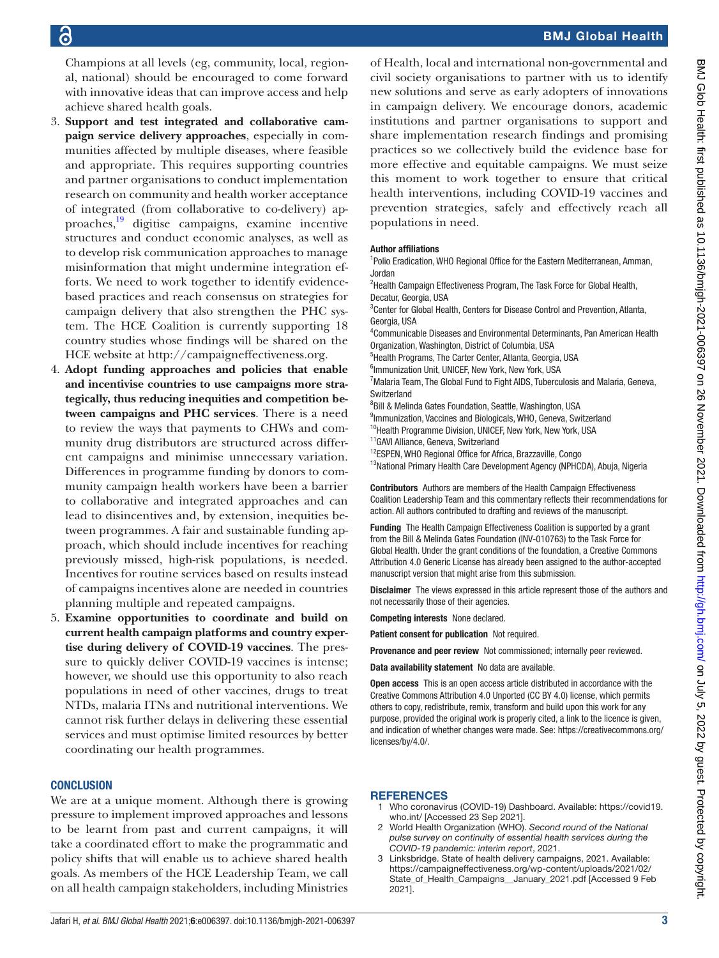# BMJ Global Health

Champions at all levels (eg, community, local, regional, national) should be encouraged to come forward with innovative ideas that can improve access and help achieve shared health goals.

- 3. **Support and test integrated and collaborative campaign service delivery approaches**, especially in communities affected by multiple diseases, where feasible and appropriate. This requires supporting countries and partner organisations to conduct implementation research on community and health worker acceptance of integrated (from collaborative to co-delivery) approaches,[19](#page-3-8) digitise campaigns, examine incentive structures and conduct economic analyses, as well as to develop risk communication approaches to manage misinformation that might undermine integration efforts. We need to work together to identify evidencebased practices and reach consensus on strategies for campaign delivery that also strengthen the PHC system. The HCE Coalition is currently supporting 18 country studies whose findings will be shared on the HCE website at <http://campaigneffectiveness.org>.
- 4. **Adopt funding approaches and policies that enable and incentivise countries to use campaigns more strategically, thus reducing inequities and competition between campaigns and PHC services**. There is a need to review the ways that payments to CHWs and community drug distributors are structured across different campaigns and minimise unnecessary variation. Differences in programme funding by donors to community campaign health workers have been a barrier to collaborative and integrated approaches and can lead to disincentives and, by extension, inequities between programmes. A fair and sustainable funding approach, which should include incentives for reaching previously missed, high-risk populations, is needed. Incentives for routine services based on results instead of campaigns incentives alone are needed in countries planning multiple and repeated campaigns.
- 5. **Examine opportunities to coordinate and build on current health campaign platforms and country expertise during delivery of COVID-19 vaccines**. The pressure to quickly deliver COVID-19 vaccines is intense; however, we should use this opportunity to also reach populations in need of other vaccines, drugs to treat NTDs, malaria ITNs and nutritional interventions. We cannot risk further delays in delivering these essential services and must optimise limited resources by better coordinating our health programmes.

#### **CONCLUSION**

We are at a unique moment. Although there is growing pressure to implement improved approaches and lessons to be learnt from past and current campaigns, it will take a coordinated effort to make the programmatic and policy shifts that will enable us to achieve shared health goals. As members of the HCE Leadership Team, we call on all health campaign stakeholders, including Ministries

of Health, local and international non-governmental and civil society organisations to partner with us to identify new solutions and serve as early adopters of innovations in campaign delivery. We encourage donors, academic institutions and partner organisations to support and share implementation research findings and promising practices so we collectively build the evidence base for more effective and equitable campaigns. We must seize this moment to work together to ensure that critical health interventions, including COVID-19 vaccines and prevention strategies, safely and effectively reach all populations in need.

#### Author affiliations

- <sup>1</sup>Polio Eradication, WHO Regional Office for the Eastern Mediterranean, Amman, Jordan
- <sup>2</sup>Health Campaign Effectiveness Program, The Task Force for Global Health, Decatur, Georgia, USA
- <sup>3</sup> Center for Global Health, Centers for Disease Control and Prevention, Atlanta, Georgia, USA
- 4 Communicable Diseases and Environmental Determinants, Pan American Health Organization, Washington, District of Columbia, USA
- 5 Health Programs, The Carter Center, Atlanta, Georgia, USA
- 6 Immunization Unit, UNICEF, New York, New York, USA
- <sup>7</sup> Malaria Team, The Global Fund to Fight AIDS, Tuberculosis and Malaria, Geneva, **Switzerland**
- 8 Bill & Melinda Gates Foundation, Seattle, Washington, USA
- 9 Immunization, Vaccines and Biologicals, WHO, Geneva, Switzerland <sup>10</sup>Health Programme Division, UNICEF, New York, New York, USA
- <sup>11</sup>GAVI Alliance, Geneva, Switzerland
- 
- <sup>12</sup>ESPEN, WHO Regional Office for Africa, Brazzaville, Congo <sup>13</sup>National Primary Health Care Development Agency (NPHCDA), Abuja, Nigeria

Contributors Authors are members of the Health Campaign Effectiveness Coalition Leadership Team and this commentary reflects their recommendations for action. All authors contributed to drafting and reviews of the manuscript.

Funding The Health Campaign Effectiveness Coalition is supported by a grant from the Bill & Melinda Gates Foundation (INV-010763) to the Task Force for Global Health. Under the grant conditions of the foundation, a Creative Commons Attribution 4.0 Generic License has already been assigned to the author-accepted manuscript version that might arise from this submission.

Disclaimer The views expressed in this article represent those of the authors and not necessarily those of their agencies.

Competing interests None declared.

Patient consent for publication Not required.

Provenance and peer review Not commissioned; internally peer reviewed.

Data availability statement No data are available.

Open access This is an open access article distributed in accordance with the Creative Commons Attribution 4.0 Unported (CC BY 4.0) license, which permits others to copy, redistribute, remix, transform and build upon this work for any purpose, provided the original work is properly cited, a link to the licence is given, and indication of whether changes were made. See: [https://creativecommons.org/](https://creativecommons.org/licenses/by/4.0/) [licenses/by/4.0/](https://creativecommons.org/licenses/by/4.0/).

#### <span id="page-2-0"></span>**REFERENCES**

- 1 Who coronavirus (COVID-19) Dashboard. Available: [https://covid19.](https://covid19.who.int/) [who.int/](https://covid19.who.int/) [Accessed 23 Sep 2021].
- <span id="page-2-1"></span>2 World Health Organization (WHO). *Second round of the National pulse survey on continuity of essential health services during the COVID-19 pandemic: interim report*, 2021.
- <span id="page-2-2"></span>3 Linksbridge. State of health delivery campaigns, 2021. Available: [https://campaigneffectiveness.org/wp-content/uploads/2021/02/](https://campaigneffectiveness.org/wp-content/uploads/2021/02/State_of_Health_Campaigns__January_2021.pdf) [State\\_of\\_Health\\_Campaigns\\_\\_January\\_2021.pdf](https://campaigneffectiveness.org/wp-content/uploads/2021/02/State_of_Health_Campaigns__January_2021.pdf) [Accessed 9 Feb 2021].